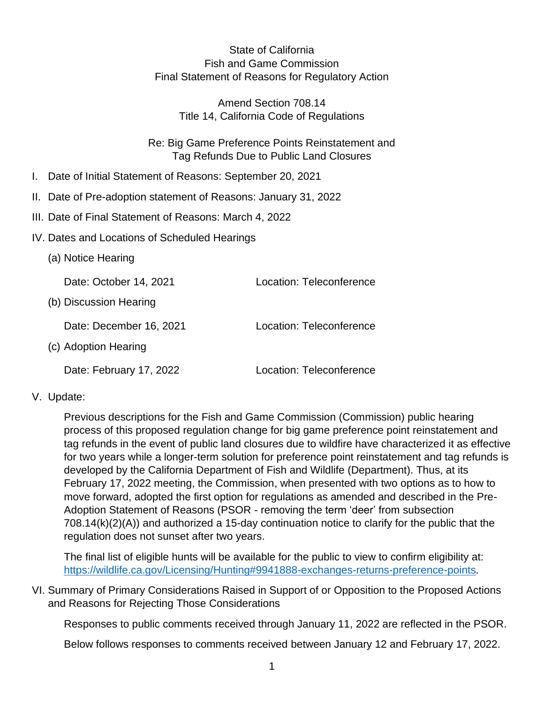State of California Fish and Game Commission Final Statement of Reasons for Regulatory Action

> Amend Section 708.14 Title 14, California Code of Regulations

Re: Big Game Preference Points Reinstatement and Tag Refunds Due to Public Land Closures

- I. Date of Initial Statement of Reasons: September 20, 2021
- II. Date of Pre-adoption statement of Reasons: January 31, 2022
- III. Date of Final Statement of Reasons: March 4, 2022
- IV. Dates and Locations of Scheduled Hearings
	- (a) Notice Hearing

Date: October 14, 2021 Location: Teleconference (b) Discussion Hearing Date: December 16, 2021 Location: Teleconference (c) Adoption Hearing Date: February 17, 2022 Location: Teleconference

V. Update:

Previous descriptions for the Fish and Game Commission (Commission) public hearing process of this proposed regulation change for big game preference point reinstatement and tag refunds in the event of public land closures due to wildfire have characterized it as effective for two years while a longer-term solution for preference point reinstatement and tag refunds is developed by the California Department of Fish and Wildlife (Department). Thus, at its February 17, 2022 meeting, the Commission, when presented with two options as to how to move forward, adopted the first option for regulations as amended and described in the Pre-Adoption Statement of Reasons (PSOR - removing the term 'deer' from subsection 708.14(k)(2)(A)) and authorized a 15-day continuation notice to clarify for the public that the regulation does not sunset after two years.

The final list of eligible hunts will be available for the public to view to confirm eligibility at: [https://wildlife.ca.gov/Licensing/Hunting#9941888-exchanges-returns-preference-points.](https://wildlife.ca.gov/Licensing/Hunting#9941888-exchanges-returns-preference-points)

VI. Summary of Primary Considerations Raised in Support of or Opposition to the Proposed Actions and Reasons for Rejecting Those Considerations

Responses to public comments received through January 11, 2022 are reflected in the PSOR.

Below follows responses to comments received between January 12 and February 17, 2022.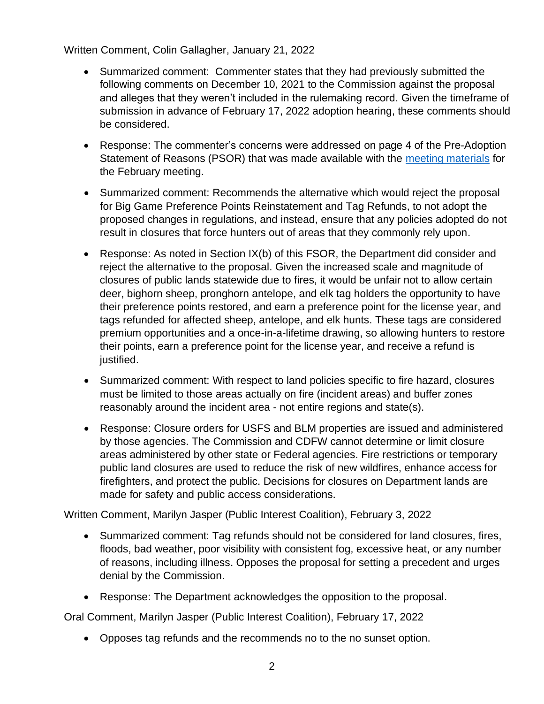Written Comment, Colin Gallagher, January 21, 2022

- Summarized comment: Commenter states that they had previously submitted the following comments on December 10, 2021 to the Commission against the proposal and alleges that they weren't included in the rulemaking record. Given the timeframe of submission in advance of February 17, 2022 adoption hearing, these comments should be considered.
- Response: The commenter's concerns were addressed on page 4 of the Pre-Adoption Statement of Reasons (PSOR) that was made available with the [meeting materials](https://nrm.dfg.ca.gov/FileHandler.ashx?DocumentID=198902&inline) for the February meeting.
- Summarized comment: Recommends the alternative which would reject the proposal for Big Game Preference Points Reinstatement and Tag Refunds, to not adopt the proposed changes in regulations, and instead, ensure that any policies adopted do not result in closures that force hunters out of areas that they commonly rely upon.
- Response: As noted in Section IX(b) of this FSOR, the Department did consider and reject the alternative to the proposal. Given the increased scale and magnitude of closures of public lands statewide due to fires, it would be unfair not to allow certain deer, bighorn sheep, pronghorn antelope, and elk tag holders the opportunity to have their preference points restored, and earn a preference point for the license year, and tags refunded for affected sheep, antelope, and elk hunts. These tags are considered premium opportunities and a once-in-a-lifetime drawing, so allowing hunters to restore their points, earn a preference point for the license year, and receive a refund is justified.
- Summarized comment: With respect to land policies specific to fire hazard, closures must be limited to those areas actually on fire (incident areas) and buffer zones reasonably around the incident area - not entire regions and state(s).
- Response: Closure orders for USFS and BLM properties are issued and administered by those agencies. The Commission and CDFW cannot determine or limit closure areas administered by other state or Federal agencies. Fire restrictions or temporary public land closures are used to reduce the risk of new wildfires, enhance access for firefighters, and protect the public. Decisions for closures on Department lands are made for safety and public access considerations.

Written Comment, Marilyn Jasper (Public Interest Coalition), February 3, 2022

- Summarized comment: Tag refunds should not be considered for land closures, fires, floods, bad weather, poor visibility with consistent fog, excessive heat, or any number of reasons, including illness. Opposes the proposal for setting a precedent and urges denial by the Commission.
- Response: The Department acknowledges the opposition to the proposal.

Oral Comment, Marilyn Jasper (Public Interest Coalition), February 17, 2022

• Opposes tag refunds and the recommends no to the no sunset option.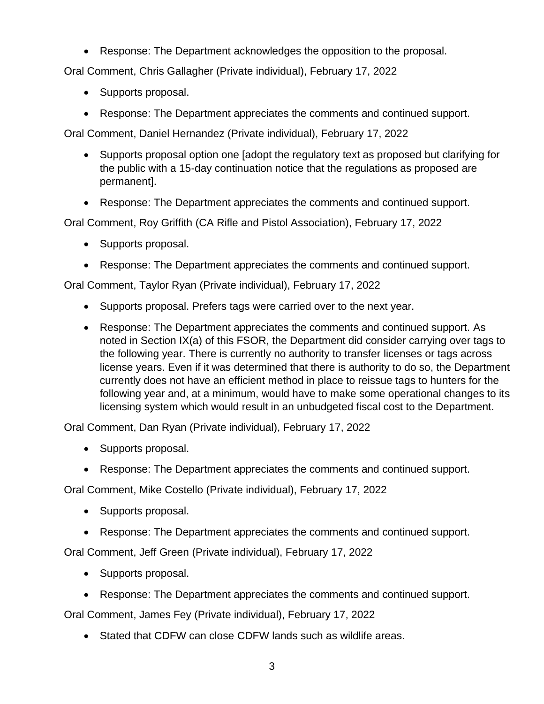• Response: The Department acknowledges the opposition to the proposal.

Oral Comment, Chris Gallagher (Private individual), February 17, 2022

- Supports proposal.
- Response: The Department appreciates the comments and continued support.

Oral Comment, Daniel Hernandez (Private individual), February 17, 2022

- Supports proposal option one [adopt the regulatory text as proposed but clarifying for the public with a 15-day continuation notice that the regulations as proposed are permanent].
- Response: The Department appreciates the comments and continued support.

Oral Comment, Roy Griffith (CA Rifle and Pistol Association), February 17, 2022

- Supports proposal.
- Response: The Department appreciates the comments and continued support.

Oral Comment, Taylor Ryan (Private individual), February 17, 2022

- Supports proposal. Prefers tags were carried over to the next year.
- Response: The Department appreciates the comments and continued support. As noted in Section IX(a) of this FSOR, the Department did consider carrying over tags to the following year. There is currently no authority to transfer licenses or tags across license years. Even if it was determined that there is authority to do so, the Department currently does not have an efficient method in place to reissue tags to hunters for the following year and, at a minimum, would have to make some operational changes to its licensing system which would result in an unbudgeted fiscal cost to the Department.

Oral Comment, Dan Ryan (Private individual), February 17, 2022

- Supports proposal.
- Response: The Department appreciates the comments and continued support.

Oral Comment, Mike Costello (Private individual), February 17, 2022

- Supports proposal.
- Response: The Department appreciates the comments and continued support.

Oral Comment, Jeff Green (Private individual), February 17, 2022

- Supports proposal.
- Response: The Department appreciates the comments and continued support.

Oral Comment, James Fey (Private individual), February 17, 2022

• Stated that CDFW can close CDFW lands such as wildlife areas.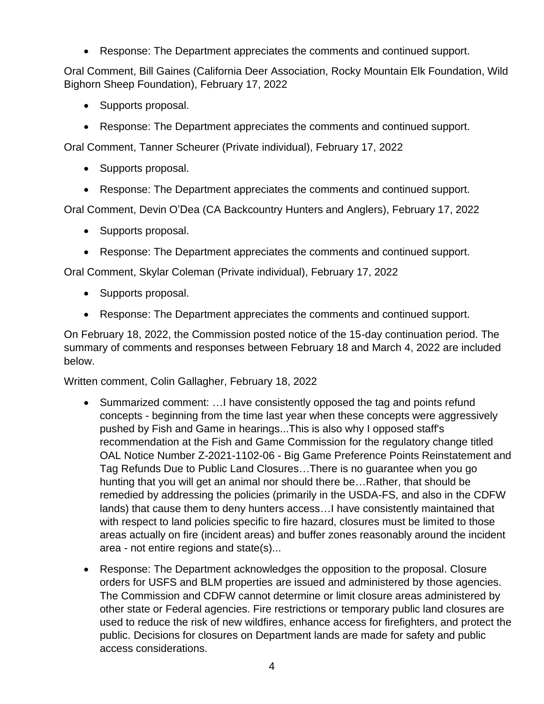• Response: The Department appreciates the comments and continued support.

Oral Comment, Bill Gaines (California Deer Association, Rocky Mountain Elk Foundation, Wild Bighorn Sheep Foundation), February 17, 2022

- Supports proposal.
- Response: The Department appreciates the comments and continued support.

Oral Comment, Tanner Scheurer (Private individual), February 17, 2022

- Supports proposal.
- Response: The Department appreciates the comments and continued support.

Oral Comment, Devin O'Dea (CA Backcountry Hunters and Anglers), February 17, 2022

- Supports proposal.
- Response: The Department appreciates the comments and continued support.

Oral Comment, Skylar Coleman (Private individual), February 17, 2022

- Supports proposal.
- Response: The Department appreciates the comments and continued support.

On February 18, 2022, the Commission posted notice of the 15-day continuation period. The summary of comments and responses between February 18 and March 4, 2022 are included below.

Written comment, Colin Gallagher, February 18, 2022

- Summarized comment: ... I have consistently opposed the tag and points refund concepts - beginning from the time last year when these concepts were aggressively pushed by Fish and Game in hearings...This is also why I opposed staff's recommendation at the Fish and Game Commission for the regulatory change titled OAL Notice Number Z-2021-1102-06 - Big Game Preference Points Reinstatement and Tag Refunds Due to Public Land Closures…There is no guarantee when you go hunting that you will get an animal nor should there be…Rather, that should be remedied by addressing the policies (primarily in the USDA-FS, and also in the CDFW lands) that cause them to deny hunters access…I have consistently maintained that with respect to land policies specific to fire hazard, closures must be limited to those areas actually on fire (incident areas) and buffer zones reasonably around the incident area - not entire regions and state(s)...
- Response: The Department acknowledges the opposition to the proposal. Closure orders for USFS and BLM properties are issued and administered by those agencies. The Commission and CDFW cannot determine or limit closure areas administered by other state or Federal agencies. Fire restrictions or temporary public land closures are used to reduce the risk of new wildfires, enhance access for firefighters, and protect the public. Decisions for closures on Department lands are made for safety and public access considerations.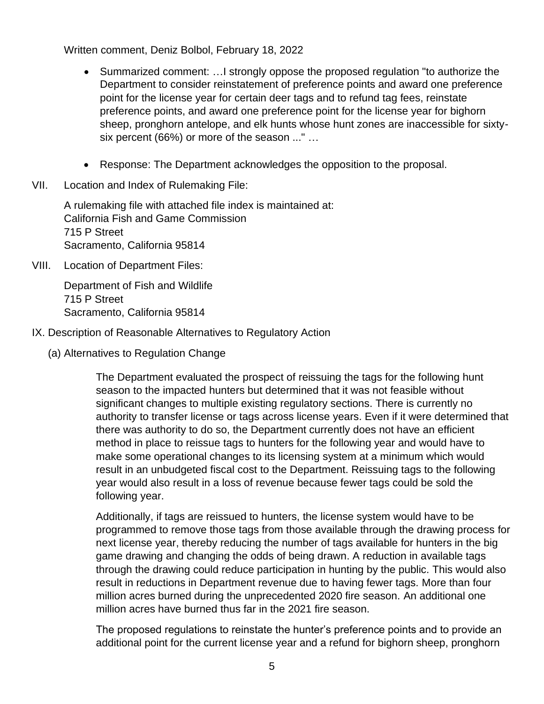Written comment, Deniz Bolbol, February 18, 2022

- Summarized comment: …I strongly oppose the proposed regulation "to authorize the Department to consider reinstatement of preference points and award one preference point for the license year for certain deer tags and to refund tag fees, reinstate preference points, and award one preference point for the license year for bighorn sheep, pronghorn antelope, and elk hunts whose hunt zones are inaccessible for sixtysix percent (66%) or more of the season ..." …
- Response: The Department acknowledges the opposition to the proposal.
- VII. Location and Index of Rulemaking File:

A rulemaking file with attached file index is maintained at: California Fish and Game Commission 715 P Street Sacramento, California 95814

VIII. Location of Department Files:

Department of Fish and Wildlife 715 P Street Sacramento, California 95814

- IX. Description of Reasonable Alternatives to Regulatory Action
	- (a) Alternatives to Regulation Change

The Department evaluated the prospect of reissuing the tags for the following hunt season to the impacted hunters but determined that it was not feasible without significant changes to multiple existing regulatory sections. There is currently no authority to transfer license or tags across license years. Even if it were determined that there was authority to do so, the Department currently does not have an efficient method in place to reissue tags to hunters for the following year and would have to make some operational changes to its licensing system at a minimum which would result in an unbudgeted fiscal cost to the Department. Reissuing tags to the following year would also result in a loss of revenue because fewer tags could be sold the following year.

Additionally, if tags are reissued to hunters, the license system would have to be programmed to remove those tags from those available through the drawing process for next license year, thereby reducing the number of tags available for hunters in the big game drawing and changing the odds of being drawn. A reduction in available tags through the drawing could reduce participation in hunting by the public. This would also result in reductions in Department revenue due to having fewer tags. More than four million acres burned during the unprecedented 2020 fire season. An additional one million acres have burned thus far in the 2021 fire season.

The proposed regulations to reinstate the hunter's preference points and to provide an additional point for the current license year and a refund for bighorn sheep, pronghorn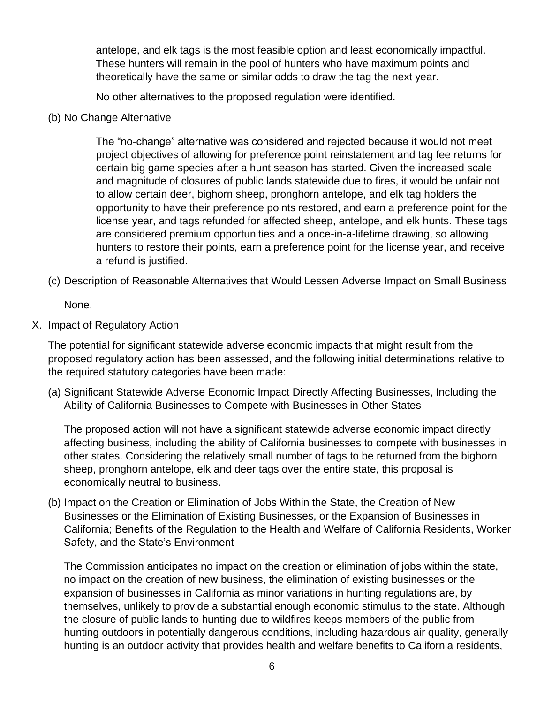antelope, and elk tags is the most feasible option and least economically impactful. These hunters will remain in the pool of hunters who have maximum points and theoretically have the same or similar odds to draw the tag the next year.

No other alternatives to the proposed regulation were identified.

(b) No Change Alternative

The "no-change" alternative was considered and rejected because it would not meet project objectives of allowing for preference point reinstatement and tag fee returns for certain big game species after a hunt season has started. Given the increased scale and magnitude of closures of public lands statewide due to fires, it would be unfair not to allow certain deer, bighorn sheep, pronghorn antelope, and elk tag holders the opportunity to have their preference points restored, and earn a preference point for the license year, and tags refunded for affected sheep, antelope, and elk hunts. These tags are considered premium opportunities and a once-in-a-lifetime drawing, so allowing hunters to restore their points, earn a preference point for the license year, and receive a refund is justified.

(c) Description of Reasonable Alternatives that Would Lessen Adverse Impact on Small Business

None.

X. Impact of Regulatory Action

The potential for significant statewide adverse economic impacts that might result from the proposed regulatory action has been assessed, and the following initial determinations relative to the required statutory categories have been made:

(a) Significant Statewide Adverse Economic Impact Directly Affecting Businesses, Including the Ability of California Businesses to Compete with Businesses in Other States

The proposed action will not have a significant statewide adverse economic impact directly affecting business, including the ability of California businesses to compete with businesses in other states. Considering the relatively small number of tags to be returned from the bighorn sheep, pronghorn antelope, elk and deer tags over the entire state, this proposal is economically neutral to business.

(b) Impact on the Creation or Elimination of Jobs Within the State, the Creation of New Businesses or the Elimination of Existing Businesses, or the Expansion of Businesses in California; Benefits of the Regulation to the Health and Welfare of California Residents, Worker Safety, and the State's Environment

The Commission anticipates no impact on the creation or elimination of jobs within the state, no impact on the creation of new business, the elimination of existing businesses or the expansion of businesses in California as minor variations in hunting regulations are, by themselves, unlikely to provide a substantial enough economic stimulus to the state. Although the closure of public lands to hunting due to wildfires keeps members of the public from hunting outdoors in potentially dangerous conditions, including hazardous air quality, generally hunting is an outdoor activity that provides health and welfare benefits to California residents,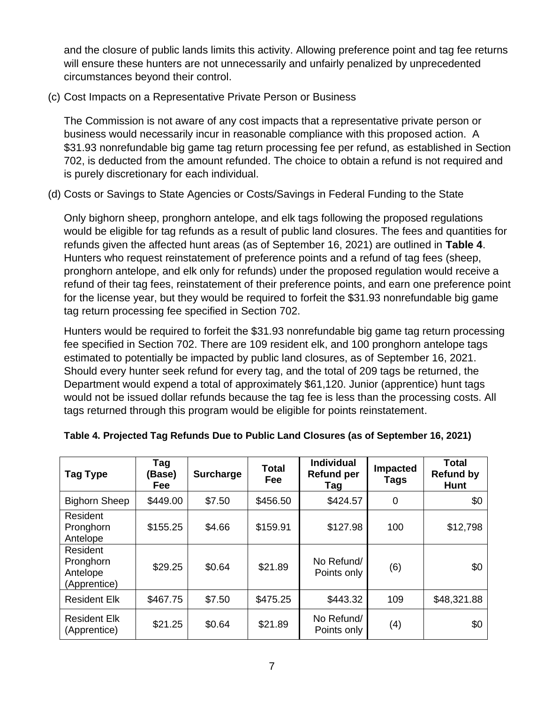and the closure of public lands limits this activity. Allowing preference point and tag fee returns will ensure these hunters are not unnecessarily and unfairly penalized by unprecedented circumstances beyond their control.

(c) Cost Impacts on a Representative Private Person or Business

The Commission is not aware of any cost impacts that a representative private person or business would necessarily incur in reasonable compliance with this proposed action. A \$31.93 nonrefundable big game tag return processing fee per refund, as established in Section 702, is deducted from the amount refunded. The choice to obtain a refund is not required and is purely discretionary for each individual.

(d) Costs or Savings to State Agencies or Costs/Savings in Federal Funding to the State

Only bighorn sheep, pronghorn antelope, and elk tags following the proposed regulations would be eligible for tag refunds as a result of public land closures. The fees and quantities for refunds given the affected hunt areas (as of September 16, 2021) are outlined in **Table 4**. Hunters who request reinstatement of preference points and a refund of tag fees (sheep, pronghorn antelope, and elk only for refunds) under the proposed regulation would receive a refund of their tag fees, reinstatement of their preference points, and earn one preference point for the license year, but they would be required to forfeit the \$31.93 nonrefundable big game tag return processing fee specified in Section 702.

Hunters would be required to forfeit the \$31.93 nonrefundable big game tag return processing fee specified in Section 702. There are 109 resident elk, and 100 pronghorn antelope tags estimated to potentially be impacted by public land closures, as of September 16, 2021. Should every hunter seek refund for every tag, and the total of 209 tags be returned, the Department would expend a total of approximately \$61,120. Junior (apprentice) hunt tags would not be issued dollar refunds because the tag fee is less than the processing costs. All tags returned through this program would be eligible for points reinstatement.

| Tag Type                                          | Tag<br>(Base)<br>Fee | <b>Surcharge</b> | <b>Total</b><br>Fee | <b>Individual</b><br><b>Refund per</b><br>Tag | <b>Impacted</b><br>Tags | <b>Total</b><br><b>Refund by</b><br><b>Hunt</b> |
|---------------------------------------------------|----------------------|------------------|---------------------|-----------------------------------------------|-------------------------|-------------------------------------------------|
| <b>Bighorn Sheep</b>                              | \$449.00             | \$7.50           | \$456.50            | \$424.57                                      | $\mathbf 0$             | \$0                                             |
| Resident<br>Pronghorn<br>Antelope                 | \$155.25             | \$4.66           | \$159.91            | \$127.98                                      | 100                     | \$12,798                                        |
| Resident<br>Pronghorn<br>Antelope<br>(Apprentice) | \$29.25              | \$0.64           | \$21.89             | No Refund/<br>Points only                     | (6)                     | \$0                                             |
| <b>Resident Elk</b>                               | \$467.75             | \$7.50           | \$475.25            | \$443.32                                      | 109                     | \$48,321.88                                     |
| <b>Resident Elk</b><br>(Apprentice)               | \$21.25              | \$0.64           | \$21.89             | No Refund/<br>Points only                     | (4)                     | \$0                                             |

**Table 4. Projected Tag Refunds Due to Public Land Closures (as of September 16, 2021)**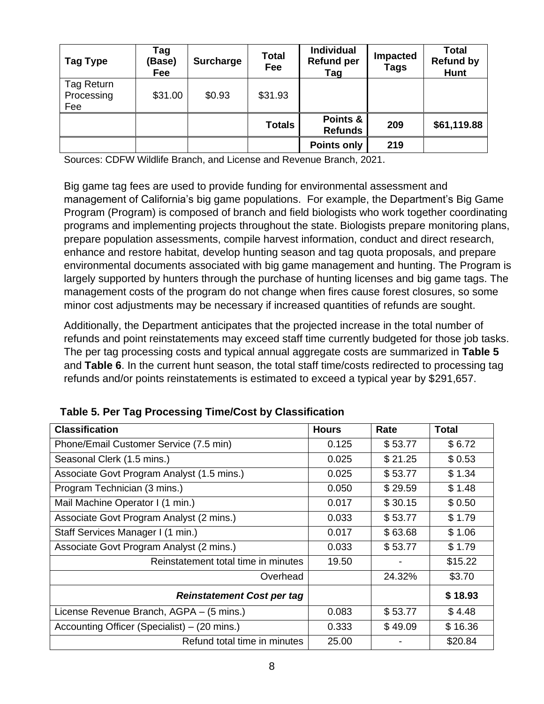| Tag Type                        | Tag<br>(Base)<br>Fee | <b>Surcharge</b> | <b>Total</b><br>Fee | <b>Individual</b><br><b>Refund per</b><br>Tag | <b>Impacted</b><br>Tags | <b>Total</b><br><b>Refund by</b><br>Hunt |
|---------------------------------|----------------------|------------------|---------------------|-----------------------------------------------|-------------------------|------------------------------------------|
| Tag Return<br>Processing<br>Fee | \$31.00              | \$0.93           | \$31.93             |                                               |                         |                                          |
|                                 |                      |                  | <b>Totals</b>       | Points &<br><b>Refunds</b>                    | 209                     | \$61,119.88                              |
|                                 |                      |                  |                     | <b>Points only</b>                            | 219                     |                                          |

Sources: CDFW Wildlife Branch, and License and Revenue Branch, 2021.

Big game tag fees are used to provide funding for environmental assessment and management of California's big game populations. For example, the Department's Big Game Program (Program) is composed of branch and field biologists who work together coordinating programs and implementing projects throughout the state. Biologists prepare monitoring plans, prepare population assessments, compile harvest information, conduct and direct research, enhance and restore habitat, develop hunting season and tag quota proposals, and prepare environmental documents associated with big game management and hunting. The Program is largely supported by hunters through the purchase of hunting licenses and big game tags. The management costs of the program do not change when fires cause forest closures, so some minor cost adjustments may be necessary if increased quantities of refunds are sought.

Additionally, the Department anticipates that the projected increase in the total number of refunds and point reinstatements may exceed staff time currently budgeted for those job tasks. The per tag processing costs and typical annual aggregate costs are summarized in **Table 5** and **Table 6**. In the current hunt season, the total staff time/costs redirected to processing tag refunds and/or points reinstatements is estimated to exceed a typical year by \$291,657.

| <b>Classification</b>                        | <b>Hours</b> | Rate    | <b>Total</b> |
|----------------------------------------------|--------------|---------|--------------|
| Phone/Email Customer Service (7.5 min)       | 0.125        | \$53.77 | \$6.72       |
| Seasonal Clerk (1.5 mins.)                   | 0.025        | \$21.25 | \$0.53       |
| Associate Govt Program Analyst (1.5 mins.)   | 0.025        | \$53.77 | \$1.34       |
| Program Technician (3 mins.)                 | 0.050        | \$29.59 | \$1.48       |
| Mail Machine Operator I (1 min.)             | 0.017        | \$30.15 | \$0.50       |
| Associate Govt Program Analyst (2 mins.)     | 0.033        | \$53.77 | \$1.79       |
| Staff Services Manager I (1 min.)            | 0.017        | \$63.68 | \$1.06       |
| Associate Govt Program Analyst (2 mins.)     | 0.033        | \$53.77 | \$1.79       |
| Reinstatement total time in minutes          | 19.50        | ۰       | \$15.22      |
| Overhead                                     |              | 24.32%  | \$3.70       |
| <b>Reinstatement Cost per tag</b>            |              |         | \$18.93      |
| License Revenue Branch, AGPA - (5 mins.)     | 0.083        | \$53.77 | \$4.48       |
| Accounting Officer (Specialist) – (20 mins.) | 0.333        | \$49.09 | \$16.36      |
| Refund total time in minutes                 | 25.00        |         | \$20.84      |

**Table 5. Per Tag Processing Time/Cost by Classification**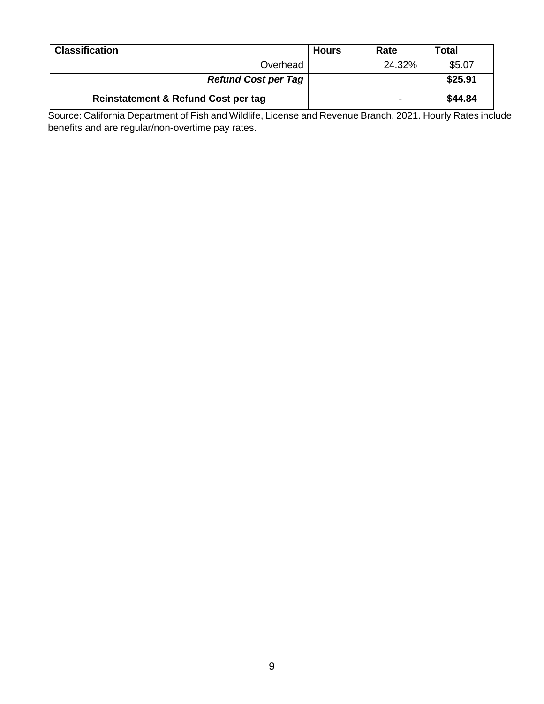| <b>Classification</b>               | <b>Hours</b> | Rate   | Total   |
|-------------------------------------|--------------|--------|---------|
| Overhead                            |              | 24.32% | \$5.07  |
| <b>Refund Cost per Tag</b>          |              |        | \$25.91 |
| Reinstatement & Refund Cost per tag |              |        | \$44.84 |

Source: California Department of Fish and Wildlife, License and Revenue Branch, 2021. Hourly Rates include benefits and are regular/non-overtime pay rates.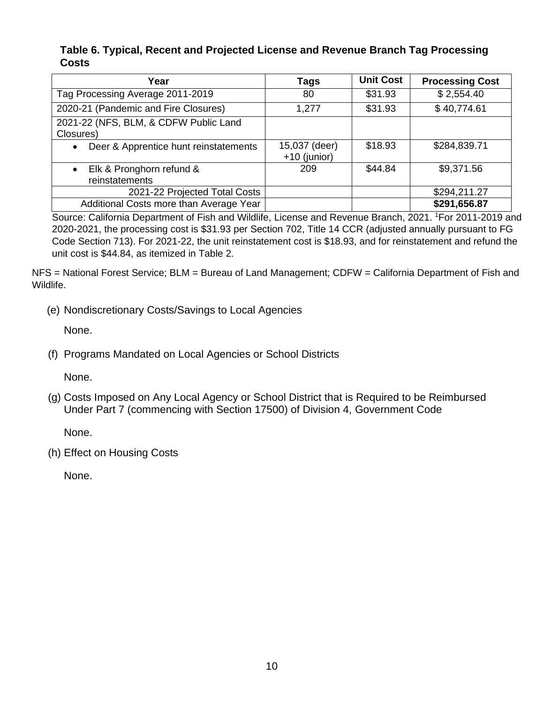#### **Table 6. Typical, Recent and Projected License and Revenue Branch Tag Processing Costs**

| Year                                                    | Tags                            | <b>Unit Cost</b> | <b>Processing Cost</b> |
|---------------------------------------------------------|---------------------------------|------------------|------------------------|
| Tag Processing Average 2011-2019                        | 80                              | \$31.93          | \$2,554.40             |
| 2020-21 (Pandemic and Fire Closures)                    | 1,277                           | \$31.93          | \$40,774.61            |
| 2021-22 (NFS, BLM, & CDFW Public Land<br>Closures)      |                                 |                  |                        |
| Deer & Apprentice hunt reinstatements<br>$\bullet$      | 15,037 (deer)<br>$+10$ (junior) | \$18.93          | \$284,839.71           |
| Elk & Pronghorn refund &<br>$\bullet$<br>reinstatements | 209                             | \$44.84          | \$9,371.56             |
| 2021-22 Projected Total Costs                           |                                 |                  | \$294,211.27           |
| Additional Costs more than Average Year                 |                                 |                  | \$291,656.87           |

Source: California Department of Fish and Wildlife, License and Revenue Branch, 2021. <sup>1</sup>For 2011-2019 and 2020-2021, the processing cost is \$31.93 per Section 702, Title 14 CCR (adjusted annually pursuant to FG Code Section 713). For 2021-22, the unit reinstatement cost is \$18.93, and for reinstatement and refund the unit cost is \$44.84, as itemized in Table 2.

NFS = National Forest Service; BLM = Bureau of Land Management; CDFW = California Department of Fish and Wildlife.

(e) Nondiscretionary Costs/Savings to Local Agencies

None.

(f) Programs Mandated on Local Agencies or School Districts

None.

(g) Costs Imposed on Any Local Agency or School District that is Required to be Reimbursed Under Part 7 (commencing with Section 17500) of Division 4, Government Code

None.

(h) Effect on Housing Costs

None.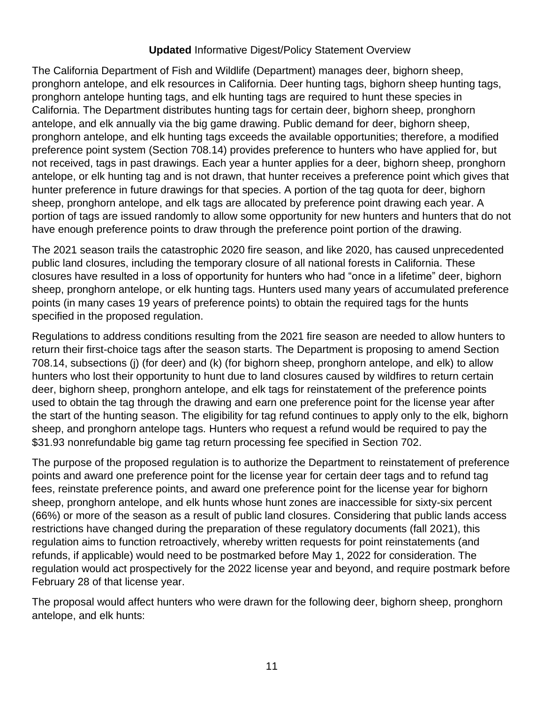## **Updated** Informative Digest/Policy Statement Overview

The California Department of Fish and Wildlife (Department) manages deer, bighorn sheep, pronghorn antelope, and elk resources in California. Deer hunting tags, bighorn sheep hunting tags, pronghorn antelope hunting tags, and elk hunting tags are required to hunt these species in California. The Department distributes hunting tags for certain deer, bighorn sheep, pronghorn antelope, and elk annually via the big game drawing. Public demand for deer, bighorn sheep, pronghorn antelope, and elk hunting tags exceeds the available opportunities; therefore, a modified preference point system (Section 708.14) provides preference to hunters who have applied for, but not received, tags in past drawings. Each year a hunter applies for a deer, bighorn sheep, pronghorn antelope, or elk hunting tag and is not drawn, that hunter receives a preference point which gives that hunter preference in future drawings for that species. A portion of the tag quota for deer, bighorn sheep, pronghorn antelope, and elk tags are allocated by preference point drawing each year. A portion of tags are issued randomly to allow some opportunity for new hunters and hunters that do not have enough preference points to draw through the preference point portion of the drawing.

The 2021 season trails the catastrophic 2020 fire season, and like 2020, has caused unprecedented public land closures, including the temporary closure of all national forests in California. These closures have resulted in a loss of opportunity for hunters who had "once in a lifetime" deer, bighorn sheep, pronghorn antelope, or elk hunting tags. Hunters used many years of accumulated preference points (in many cases 19 years of preference points) to obtain the required tags for the hunts specified in the proposed regulation.

Regulations to address conditions resulting from the 2021 fire season are needed to allow hunters to return their first-choice tags after the season starts. The Department is proposing to amend Section 708.14, subsections (j) (for deer) and (k) (for bighorn sheep, pronghorn antelope, and elk) to allow hunters who lost their opportunity to hunt due to land closures caused by wildfires to return certain deer, bighorn sheep, pronghorn antelope, and elk tags for reinstatement of the preference points used to obtain the tag through the drawing and earn one preference point for the license year after the start of the hunting season. The eligibility for tag refund continues to apply only to the elk, bighorn sheep, and pronghorn antelope tags. Hunters who request a refund would be required to pay the \$31.93 nonrefundable big game tag return processing fee specified in Section 702.

The purpose of the proposed regulation is to authorize the Department to reinstatement of preference points and award one preference point for the license year for certain deer tags and to refund tag fees, reinstate preference points, and award one preference point for the license year for bighorn sheep, pronghorn antelope, and elk hunts whose hunt zones are inaccessible for sixty-six percent (66%) or more of the season as a result of public land closures. Considering that public lands access restrictions have changed during the preparation of these regulatory documents (fall 2021), this regulation aims to function retroactively, whereby written requests for point reinstatements (and refunds, if applicable) would need to be postmarked before May 1, 2022 for consideration. The regulation would act prospectively for the 2022 license year and beyond, and require postmark before February 28 of that license year.

The proposal would affect hunters who were drawn for the following deer, bighorn sheep, pronghorn antelope, and elk hunts: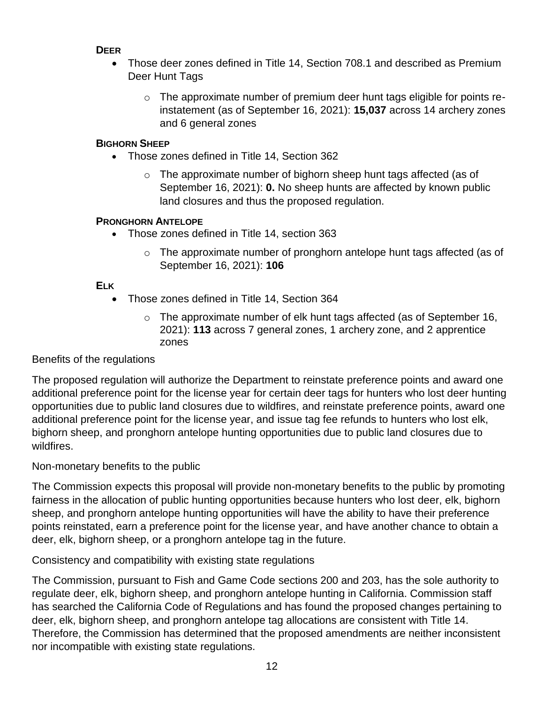## **DEER**

- Those deer zones defined in Title 14, Section 708.1 and described as Premium Deer Hunt Tags
	- o The approximate number of premium deer hunt tags eligible for points reinstatement (as of September 16, 2021): **15,037** across 14 archery zones and 6 general zones

# **BIGHORN SHEEP**

- Those zones defined in Title 14, Section 362
	- o The approximate number of bighorn sheep hunt tags affected (as of September 16, 2021): **0.** No sheep hunts are affected by known public land closures and thus the proposed regulation.

## **PRONGHORN ANTELOPE**

- Those zones defined in Title 14, section 363
	- $\circ$  The approximate number of pronghorn antelope hunt tags affected (as of September 16, 2021): **106**

# **ELK**

- Those zones defined in Title 14, Section 364
	- o The approximate number of elk hunt tags affected (as of September 16, 2021): **113** across 7 general zones, 1 archery zone, and 2 apprentice zones

Benefits of the regulations

The proposed regulation will authorize the Department to reinstate preference points and award one additional preference point for the license year for certain deer tags for hunters who lost deer hunting opportunities due to public land closures due to wildfires, and reinstate preference points, award one additional preference point for the license year, and issue tag fee refunds to hunters who lost elk, bighorn sheep, and pronghorn antelope hunting opportunities due to public land closures due to wildfires.

Non-monetary benefits to the public

The Commission expects this proposal will provide non-monetary benefits to the public by promoting fairness in the allocation of public hunting opportunities because hunters who lost deer, elk, bighorn sheep, and pronghorn antelope hunting opportunities will have the ability to have their preference points reinstated, earn a preference point for the license year, and have another chance to obtain a deer, elk, bighorn sheep, or a pronghorn antelope tag in the future.

Consistency and compatibility with existing state regulations

The Commission, pursuant to Fish and Game Code sections 200 and 203, has the sole authority to regulate deer, elk, bighorn sheep, and pronghorn antelope hunting in California. Commission staff has searched the California Code of Regulations and has found the proposed changes pertaining to deer, elk, bighorn sheep, and pronghorn antelope tag allocations are consistent with Title 14. Therefore, the Commission has determined that the proposed amendments are neither inconsistent nor incompatible with existing state regulations.